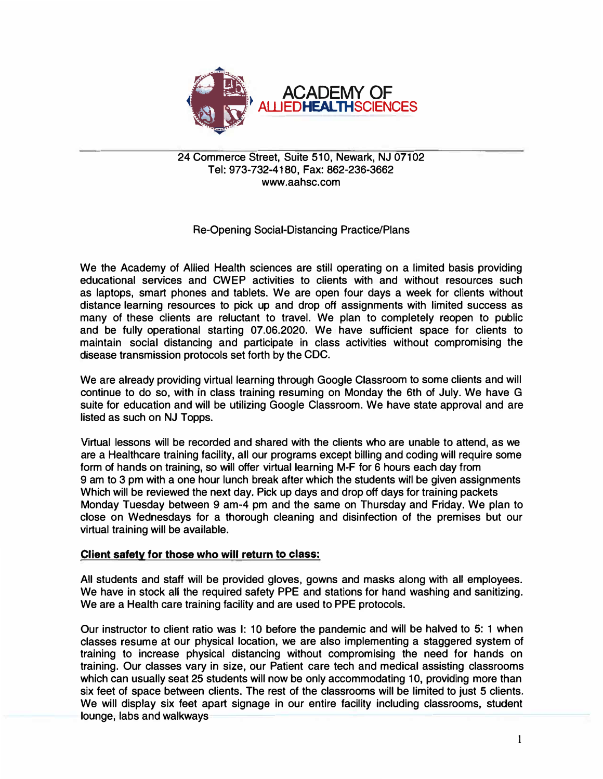

#### 24 Commerce Street, Suite 510, Newark, NJ 07102 Tel: 973-732-4180, Fax: 862-236-3662 www.aahsc.com

# Re-Opening Social-Distancing Practice/Plans

We the Academy of Allied Health sciences are still operating on a limited basis providing educational services and CWEP activities to clients with and without resources such as laptops, smart phones and tablets. We are open four days a week for clients without distance learning resources to pick up and drop off assignments with limited success as many of these clients are reluctant to travel. We plan to completely reopen to public and be fully operational starting 07.06.2020. We have sufficient space for clients to maintain social distancing and participate in class activities without compromising the disease transmission protocols set forth by the CDC.

We are already providing virtual learning through Google Classroom to some clients and will continue to do so, with in class training resuming on Monday the 6th of July. We have G suite for education and will be utilizing Google Classroom. We have state approval and are listed as such on NJ Topps.

Virtual lessons will be recorded and shared with the clients who are unable to attend, as we are a Healthcare training facility, all our programs except billing and coding will require some form of hands on training, so will offer virtual learning M-F for 6 hours each day from 9 am to 3 pm with a one hour lunch break after which the students will be given assignments Which will be reviewed the next day. Pick up days and drop off days for training packets Monday Tuesday between 9 am-4 pm and the same on Thursday and Friday. We plan to close on Wednesdays for a thorough cleaning and disinfection of the premises but our virtual training will be available.

## **Client safety for those who will return to class:**

All students and staff will be provided gloves, gowns and masks along with all employees. We have in stock all the required safety PPE and stations for hand washing and sanitizing. We are a Health care training facility and are used to PPE protocols.

Our instructor to client ratio was I: 10 before the pandemic and will be halved to 5: 1 when classes resume at our physical location, we are also implementing a staggered system of training to increase physical distancing without compromising the need for hands on training. Our classes vary in size, our Patient care tech and medical assisting classrooms which can usually seat 25 students will now be only accommodating 10, providing more than six feet of space between clients. The rest of the classrooms will be limited to just 5 clients. We will display six feet apart signage in our entire facility including classrooms, student lounge, labs and walkways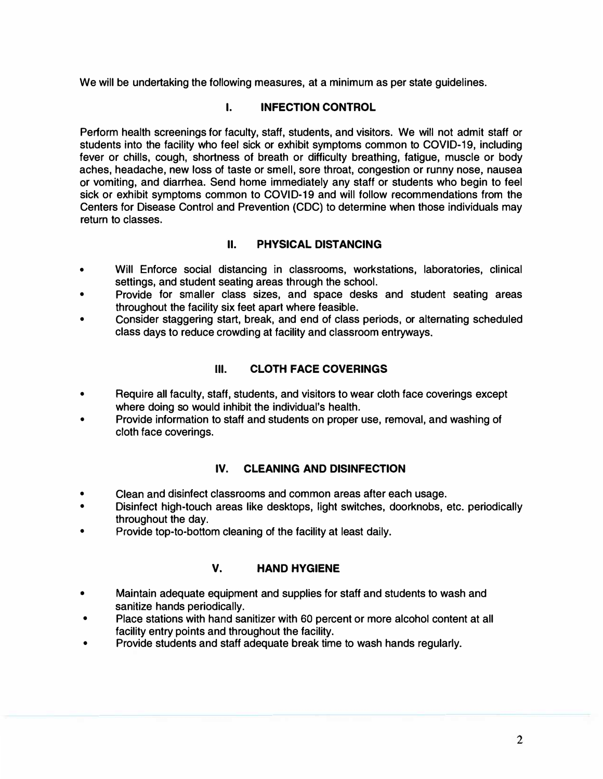**We will be undertaking the following measures, at a minimum as per state guidelines.** 

#### **I. INFECTION CONTROL**

**Perform health screenings for faculty, staff, students, and visitors. We will not admit staff or students into the facility who feel sick or exhibit symptoms common to COVID-19, including fever or chills, cough, shortness of breath or difficulty breathing, fatigue, muscle or body aches, headache, new loss of taste or smell, sore throat, congestion or runny nose, nausea or vomiting, and diarrhea. Send home immediately any staff or students who begin to feel sick or exhibit symptoms common to COVID-19 and will follow recommendations from the Centers for Disease Control and Prevention (CDC) to determine when those individuals may return to classes.** 

#### **II. PHYSICAL DISTANCING**

- **• Will Enforce social distancing in classrooms, workstations, laboratories, clinical settings, and student seating areas through the school.**
- **• Provide for smaller class sizes, and space desks and student seating areas throughout the facility six feet apart where feasible.**
- **• Consider staggering start, break, and end of class periods, or alternating scheduled class days to reduce crowding at facility and classroom entryways.**

# **Ill. CLOTH FACE COVERINGS**

- **• Require all faculty, staff, students, and visitors to wear cloth face coverings except where doing so would inhibit the individual's health.**
- **• Provide information to staff and students on proper use, removal, and washing of cloth face coverings.**

## **IV. CLEANING AND DISINFECTION**

- **• Clean and disinfect classrooms and common areas after each usage.**
- **• Disinfect high-touch areas like desktops, light switches, doorknobs, etc. periodically throughout the day.**
- **• Provide top-to-bottom cleaning of the facility at least daily.**

#### **V.HAND HYGIENE**

- **• Maintain adequate equipment and supplies for staff and students to wash and sanitize hands periodically.**
- **• Place stations with hand sanitizer with 60 percent or more alcohol content at all facility entry points and throughout the facility.**
- **• Provide students and staff adequate break time to wash hands regularly.**